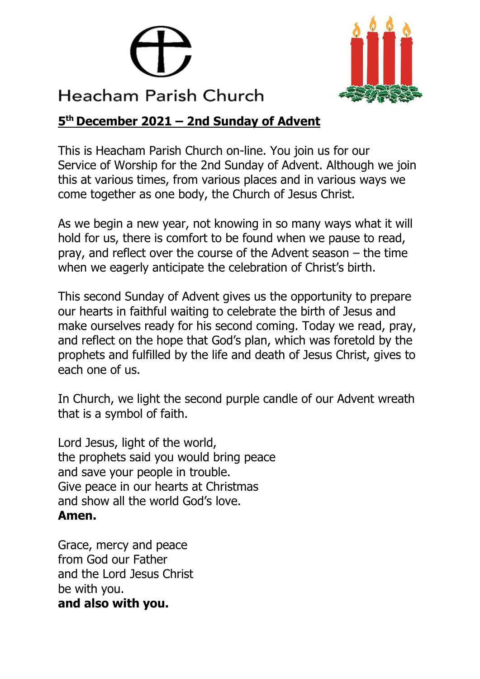



## **5 th December 2021 – 2nd Sunday of Advent**

This is Heacham Parish Church on-line. You join us for our Service of Worship for the 2nd Sunday of Advent. Although we join this at various times, from various places and in various ways we come together as one body, the Church of Jesus Christ.

As we begin a new year, not knowing in so many ways what it will hold for us, there is comfort to be found when we pause to read, pray, and reflect over the course of the Advent season – the time when we eagerly anticipate the celebration of Christ's birth.

This second Sunday of Advent gives us the opportunity to prepare our hearts in faithful waiting to celebrate the birth of Jesus and make ourselves ready for his second coming. Today we read, pray, and reflect on the hope that God's plan, which was foretold by the prophets and fulfilled by the life and death of Jesus Christ, gives to each one of us.

In Church, we light the second purple candle of our Advent wreath that is a symbol of faith.

Lord Jesus, light of the world, the prophets said you would bring peace and save your people in trouble. Give peace in our hearts at Christmas and show all the world God's love. **Amen.**

Grace, mercy and peace from God our Father and the Lord Jesus Christ be with you. **and also with you.**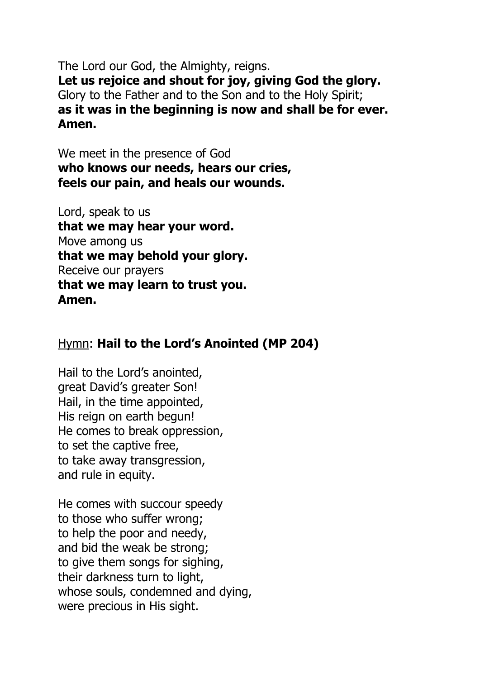The Lord our God, the Almighty, reigns. **Let us rejoice and shout for joy, giving God the glory.** Glory to the Father and to the Son and to the Holy Spirit; **as it was in the beginning is now and shall be for ever. Amen.**

We meet in the presence of God **who knows our needs, hears our cries, feels our pain, and heals our wounds.**

Lord, speak to us **that we may hear your word.** Move among us **that we may behold your glory.** Receive our prayers **that we may learn to trust you. Amen.**

## Hymn: **Hail to the Lord's Anointed (MP 204)**

Hail to the Lord's anointed, great David's greater Son! Hail, in the time appointed, His reign on earth begun! He comes to break oppression, to set the captive free, to take away transgression, and rule in equity.

He comes with succour speedy to those who suffer wrong; to help the poor and needy, and bid the weak be strong; to give them songs for sighing, their darkness turn to light, whose souls, condemned and dying, were precious in His sight.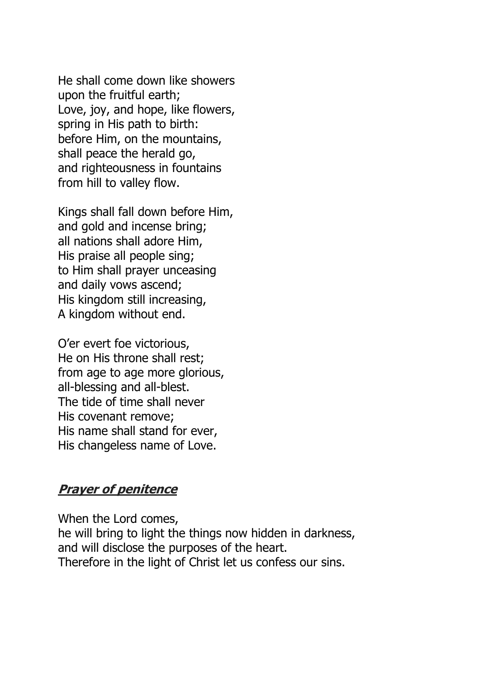He shall come down like showers upon the fruitful earth; Love, joy, and hope, like flowers, spring in His path to birth: before Him, on the mountains, shall peace the herald go, and righteousness in fountains from hill to valley flow.

Kings shall fall down before Him, and gold and incense bring; all nations shall adore Him, His praise all people sing; to Him shall prayer unceasing and daily vows ascend; His kingdom still increasing, A kingdom without end.

O'er evert foe victorious, He on His throne shall rest; from age to age more glorious, all-blessing and all-blest. The tide of time shall never His covenant remove; His name shall stand for ever, His changeless name of Love.

### **Prayer of penitence**

When the Lord comes, he will bring to light the things now hidden in darkness, and will disclose the purposes of the heart. Therefore in the light of Christ let us confess our sins.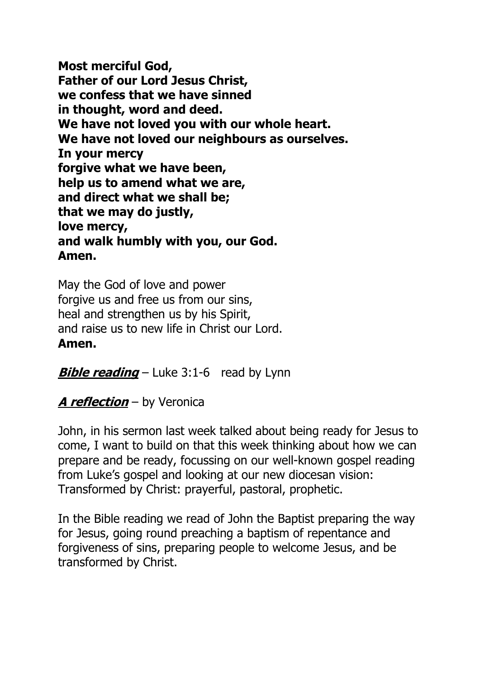**Most merciful God, Father of our Lord Jesus Christ, we confess that we have sinned in thought, word and deed. We have not loved you with our whole heart. We have not loved our neighbours as ourselves. In your mercy forgive what we have been, help us to amend what we are, and direct what we shall be; that we may do justly, love mercy, and walk humbly with you, our God. Amen.**

May the God of love and power forgive us and free us from our sins, heal and strengthen us by his Spirit, and raise us to new life in Christ our Lord. **Amen.**

**Bible reading** – Luke 3:1-6 read by Lynn

# **A reflection** – by Veronica

John, in his sermon last week talked about being ready for Jesus to come, I want to build on that this week thinking about how we can prepare and be ready, focussing on our well-known gospel reading from Luke's gospel and looking at our new diocesan vision: Transformed by Christ: prayerful, pastoral, prophetic.

In the Bible reading we read of John the Baptist preparing the way for Jesus, going round preaching a baptism of repentance and forgiveness of sins, preparing people to welcome Jesus, and be transformed by Christ.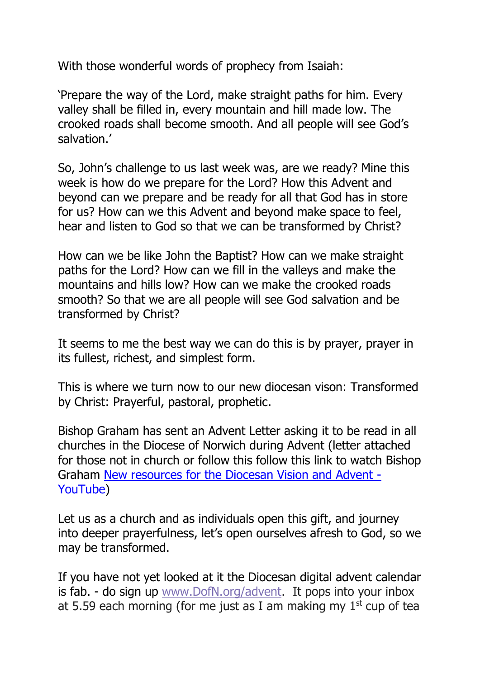With those wonderful words of prophecy from Isaiah:

'Prepare the way of the Lord, make straight paths for him. Every valley shall be filled in, every mountain and hill made low. The crooked roads shall become smooth. And all people will see God's salvation.'

So, John's challenge to us last week was, are we ready? Mine this week is how do we prepare for the Lord? How this Advent and beyond can we prepare and be ready for all that God has in store for us? How can we this Advent and beyond make space to feel, hear and listen to God so that we can be transformed by Christ?

How can we be like John the Baptist? How can we make straight paths for the Lord? How can we fill in the valleys and make the mountains and hills low? How can we make the crooked roads smooth? So that we are all people will see God salvation and be transformed by Christ?

It seems to me the best way we can do this is by prayer, prayer in its fullest, richest, and simplest form.

This is where we turn now to our new diocesan vison: Transformed by Christ: Prayerful, pastoral, prophetic.

Bishop Graham has sent an Advent Letter asking it to be read in all churches in the Diocese of Norwich during Advent (letter attached for those not in church or follow this follow this link to watch Bishop Graham [New resources for the Diocesan Vision and Advent -](https://www.youtube.com/watch?v=JTDQmQjnnlo) [YouTube\)](https://www.youtube.com/watch?v=JTDQmQjnnlo)

Let us as a church and as individuals open this gift, and journey into deeper prayerfulness, let's open ourselves afresh to God, so we may be transformed.

If you have not yet looked at it the Diocesan digital advent calendar is fab. - do sign up [www.DofN.org/advent.](https://dioceseofnorwich.us2.list-manage.com/track/click?u=8477d8a03014a58cb41be0b8d&id=c9df795911&e=c719a40675) It pops into your inbox at 5.59 each morning (for me just as I am making my  $1<sup>st</sup>$  cup of tea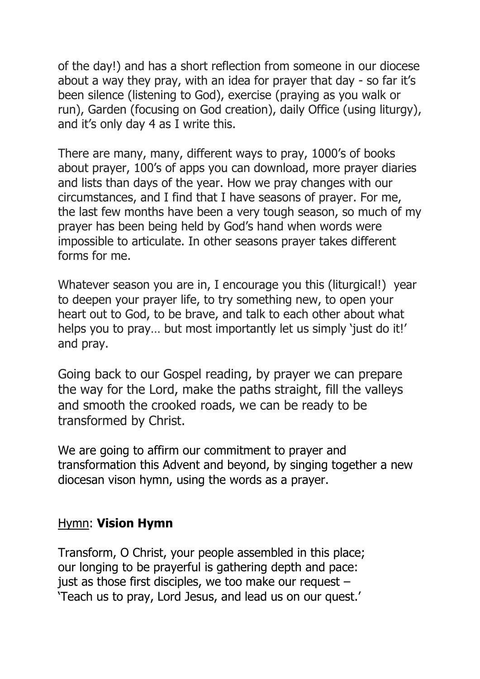of the day!) and has a short reflection from someone in our diocese about a way they pray, with an idea for prayer that day - so far it's been silence (listening to God), exercise (praying as you walk or run), Garden (focusing on God creation), daily Office (using liturgy), and it's only day 4 as I write this.

There are many, many, different ways to pray, 1000's of books about prayer, 100's of apps you can download, more prayer diaries and lists than days of the year. How we pray changes with our circumstances, and I find that I have seasons of prayer. For me, the last few months have been a very tough season, so much of my prayer has been being held by God's hand when words were impossible to articulate. In other seasons prayer takes different forms for me.

Whatever season you are in, I encourage you this (liturgical!) year to deepen your prayer life, to try something new, to open your heart out to God, to be brave, and talk to each other about what helps you to pray... but most importantly let us simply 'just do it!' and pray.

Going back to our Gospel reading, by prayer we can prepare the way for the Lord, make the paths straight, fill the valleys and smooth the crooked roads, we can be ready to be transformed by Christ.

We are going to affirm our commitment to prayer and transformation this Advent and beyond, by singing together a new diocesan vison hymn, using the words as a prayer.

### Hymn: **Vision Hymn**

Transform, O Christ, your people assembled in this place; our longing to be prayerful is gathering depth and pace: just as those first disciples, we too make our request – 'Teach us to pray, Lord Jesus, and lead us on our quest.'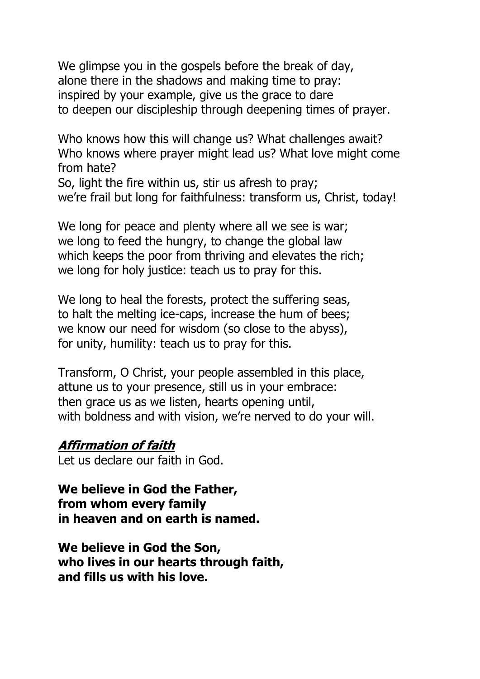We glimpse you in the gospels before the break of day, alone there in the shadows and making time to pray: inspired by your example, give us the grace to dare to deepen our discipleship through deepening times of prayer.

Who knows how this will change us? What challenges await? Who knows where prayer might lead us? What love might come from hate?

So, light the fire within us, stir us afresh to pray; we're frail but long for faithfulness: transform us, Christ, today!

We long for peace and plenty where all we see is war; we long to feed the hungry, to change the global law which keeps the poor from thriving and elevates the rich; we long for holy justice: teach us to pray for this.

We long to heal the forests, protect the suffering seas, to halt the melting ice-caps, increase the hum of bees; we know our need for wisdom (so close to the abyss), for unity, humility: teach us to pray for this.

Transform, O Christ, your people assembled in this place, attune us to your presence, still us in your embrace: then grace us as we listen, hearts opening until, with boldness and with vision, we're nerved to do your will.

#### **Affirmation of faith**

Let us declare our faith in God.

**We believe in God the Father, from whom every family in heaven and on earth is named.**

**We believe in God the Son, who lives in our hearts through faith, and fills us with his love.**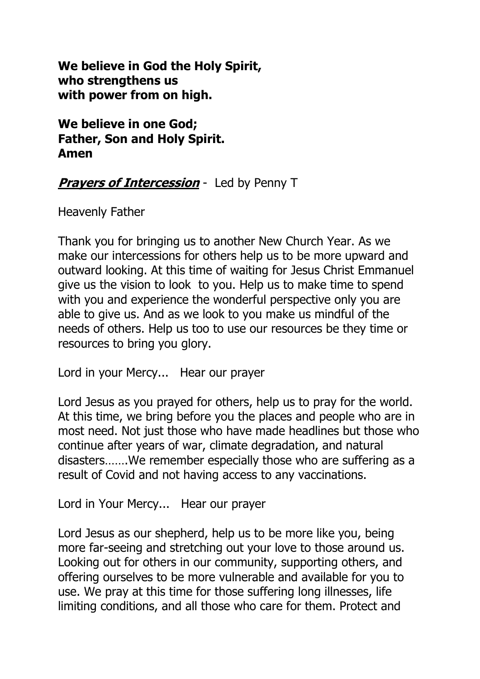**We believe in God the Holy Spirit, who strengthens us with power from on high.**

**We believe in one God; Father, Son and Holy Spirit. Amen**

## **Prayers of Intercession** - Led by Penny T

Heavenly Father

Thank you for bringing us to another New Church Year. As we make our intercessions for others help us to be more upward and outward looking. At this time of waiting for Jesus Christ Emmanuel give us the vision to look to you. Help us to make time to spend with you and experience the wonderful perspective only you are able to give us. And as we look to you make us mindful of the needs of others. Help us too to use our resources be they time or resources to bring you glory.

Lord in your Mercy... Hear our prayer

Lord Jesus as you prayed for others, help us to pray for the world. At this time, we bring before you the places and people who are in most need. Not just those who have made headlines but those who continue after years of war, climate degradation, and natural disasters…….We remember especially those who are suffering as a result of Covid and not having access to any vaccinations.

Lord in Your Mercy... Hear our prayer

Lord Jesus as our shepherd, help us to be more like you, being more far-seeing and stretching out your love to those around us. Looking out for others in our community, supporting others, and offering ourselves to be more vulnerable and available for you to use. We pray at this time for those suffering long illnesses, life limiting conditions, and all those who care for them. Protect and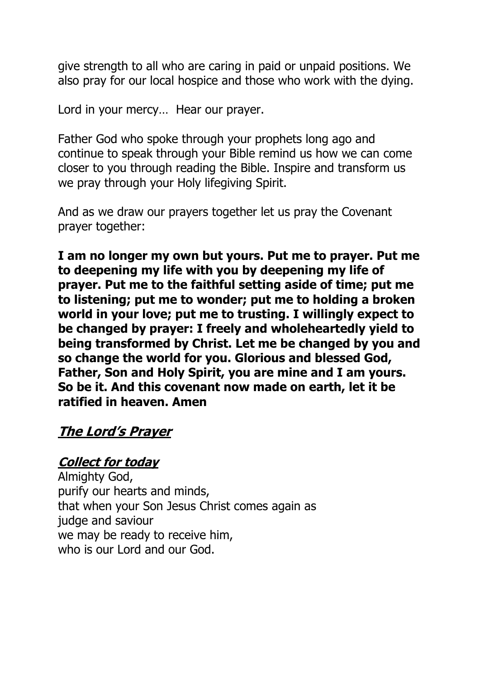give strength to all who are caring in paid or unpaid positions. We also pray for our local hospice and those who work with the dying.

Lord in your mercy… Hear our prayer.

Father God who spoke through your prophets long ago and continue to speak through your Bible remind us how we can come closer to you through reading the Bible. Inspire and transform us we pray through your Holy lifegiving Spirit.

And as we draw our prayers together let us pray the Covenant prayer together:

**I am no longer my own but yours. Put me to prayer. Put me to deepening my life with you by deepening my life of prayer. Put me to the faithful setting aside of time; put me to listening; put me to wonder; put me to holding a broken world in your love; put me to trusting. I willingly expect to be changed by prayer: I freely and wholeheartedly yield to being transformed by Christ. Let me be changed by you and so change the world for you. Glorious and blessed God, Father, Son and Holy Spirit, you are mine and I am yours. So be it. And this covenant now made on earth, let it be ratified in heaven. Amen**

# **The Lord's Prayer**

### **Collect for today**

Almighty God, purify our hearts and minds, that when your Son Jesus Christ comes again as judge and saviour we may be ready to receive him, who is our Lord and our God.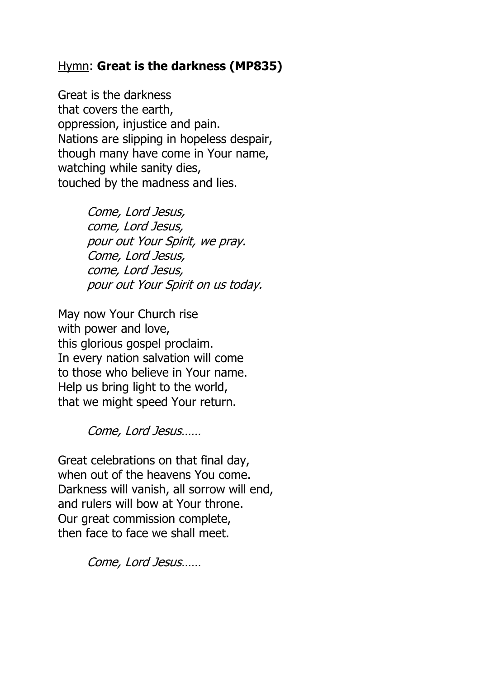## Hymn: **Great is the darkness (MP835)**

Great is the darkness that covers the earth, oppression, injustice and pain. Nations are slipping in hopeless despair, though many have come in Your name, watching while sanity dies, touched by the madness and lies.

> Come, Lord Jesus, come, Lord Jesus, pour out Your Spirit, we pray. Come, Lord Jesus, come, Lord Jesus, pour out Your Spirit on us today.

May now Your Church rise with power and love, this glorious gospel proclaim. In every nation salvation will come to those who believe in Your name. Help us bring light to the world, that we might speed Your return.

Come, Lord Jesus……

Great celebrations on that final day, when out of the heavens You come. Darkness will vanish, all sorrow will end, and rulers will bow at Your throne. Our great commission complete, then face to face we shall meet.

Come, Lord Jesus……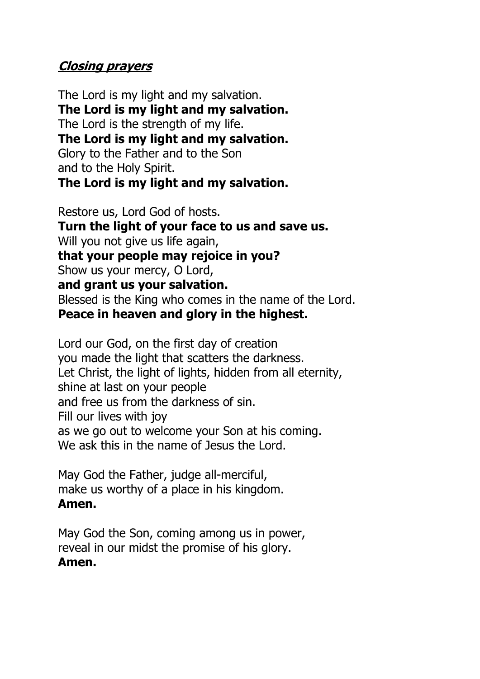## **Closing prayers**

The Lord is my light and my salvation. **The Lord is my light and my salvation.** The Lord is the strength of my life. **The Lord is my light and my salvation.** Glory to the Father and to the Son and to the Holy Spirit. **The Lord is my light and my salvation.**

Restore us, Lord God of hosts. **Turn the light of your face to us and save us.** Will you not give us life again, **that your people may rejoice in you?** Show us your mercy, O Lord, **and grant us your salvation.** Blessed is the King who comes in the name of the Lord. **Peace in heaven and glory in the highest.**

Lord our God, on the first day of creation you made the light that scatters the darkness. Let Christ, the light of lights, hidden from all eternity, shine at last on your people and free us from the darkness of sin. Fill our lives with joy as we go out to welcome your Son at his coming. We ask this in the name of Jesus the Lord.

May God the Father, judge all-merciful, make us worthy of a place in his kingdom. **Amen.**

May God the Son, coming among us in power, reveal in our midst the promise of his glory. **Amen.**